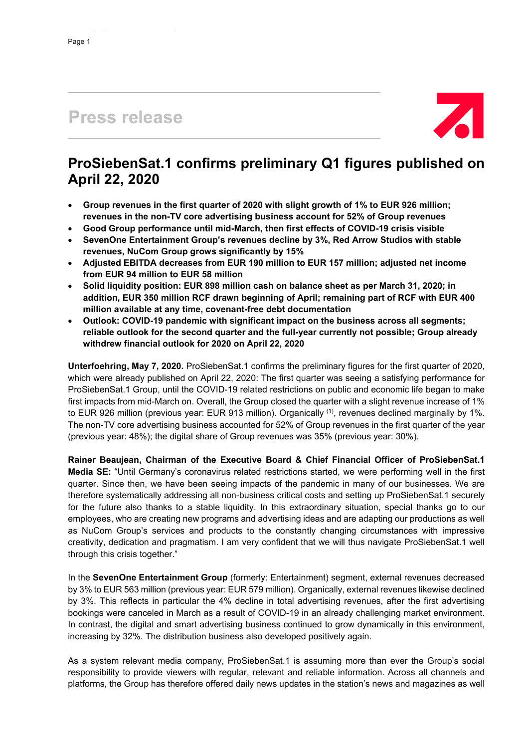# **Press release**



## **ProSiebenSat.1 confirms preliminary Q1 figures published on April 22, 2020**

- **Group revenues in the first quarter of 2020 with slight growth of 1% to EUR 926 million; revenues in the non-TV core advertising business account for 52% of Group revenues**
- **Good Group performance until mid-March, then first effects of COVID-19 crisis visible**
- **SevenOne Entertainment Group's revenues decline by 3%, Red Arrow Studios with stable revenues, NuCom Group grows significantly by 15%**
- **Adjusted EBITDA decreases from EUR 190 million to EUR 157 million; adjusted net income from EUR 94 million to EUR 58 million**
- **Solid liquidity position: EUR 898 million cash on balance sheet as per March 31, 2020; in addition, EUR 350 million RCF drawn beginning of April; remaining part of RCF with EUR 400 million available at any time, covenant-free debt documentation**
- **Outlook: COVID-19 pandemic with significant impact on the business across all segments; reliable outlook for the second quarter and the full-year currently not possible; Group already withdrew financial outlook for 2020 on April 22, 2020**

**Unterfoehring, May 7, 2020.** ProSiebenSat.1 confirms the preliminary figures for the first quarter of 2020, which were already published on April 22, 2020: The first quarter was seeing a satisfying performance for ProSiebenSat.1 Group, until the COVID-19 related restrictions on public and economic life began to make first impacts from mid-March on. Overall, the Group closed the quarter with a slight revenue increase of 1% to EUR 926 million (previous year: EUR 913 million). Organically <sup>(1)</sup>, revenues declined marginally by 1%. The non-TV core advertising business accounted for 52% of Group revenues in the first quarter of the year (previous year: 48%); the digital share of Group revenues was 35% (previous year: 30%).

**Rainer Beaujean, Chairman of the Executive Board & Chief Financial Officer of ProSiebenSat.1 Media SE:** "Until Germany's coronavirus related restrictions started, we were performing well in the first quarter. Since then, we have been seeing impacts of the pandemic in many of our businesses. We are therefore systematically addressing all non-business critical costs and setting up ProSiebenSat.1 securely for the future also thanks to a stable liquidity. In this extraordinary situation, special thanks go to our employees, who are creating new programs and advertising ideas and are adapting our productions as well as NuCom Group's services and products to the constantly changing circumstances with impressive creativity, dedication and pragmatism. I am very confident that we will thus navigate ProSiebenSat.1 well through this crisis together."

In the **SevenOne Entertainment Group** (formerly: Entertainment) segment, external revenues decreased by 3% to EUR 563 million (previous year: EUR 579 million). Organically, external revenues likewise declined by 3%. This reflects in particular the 4% decline in total advertising revenues, after the first advertising bookings were canceled in March as a result of COVID-19 in an already challenging market environment. In contrast, the digital and smart advertising business continued to grow dynamically in this environment, increasing by 32%. The distribution business also developed positively again.

As a system relevant media company, ProSiebenSat.1 is assuming more than ever the Group's social responsibility to provide viewers with regular, relevant and reliable information. Across all channels and platforms, the Group has therefore offered daily news updates in the station's news and magazines as well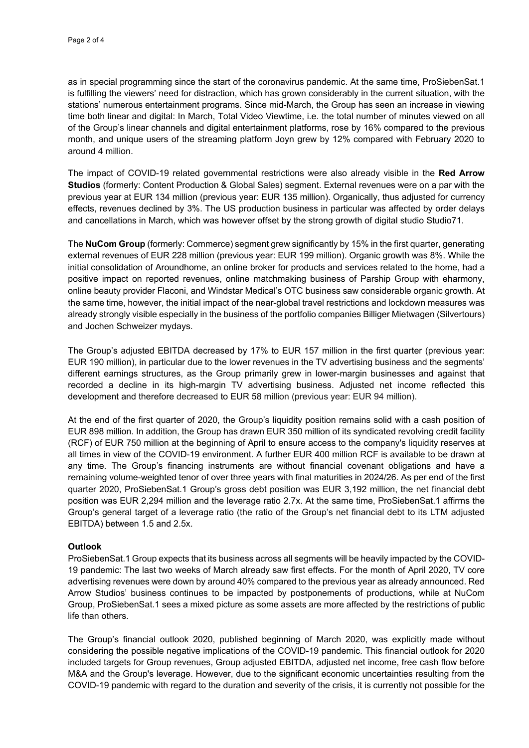as in special programming since the start of the coronavirus pandemic. At the same time, ProSiebenSat.1 is fulfilling the viewers' need for distraction, which has grown considerably in the current situation, with the stations' numerous entertainment programs. Since mid-March, the Group has seen an increase in viewing time both linear and digital: In March, Total Video Viewtime, i.e. the total number of minutes viewed on all of the Group's linear channels and digital entertainment platforms, rose by 16% compared to the previous month, and unique users of the streaming platform Joyn grew by 12% compared with February 2020 to around 4 million.

The impact of COVID-19 related governmental restrictions were also already visible in the **Red Arrow Studios** (formerly: Content Production & Global Sales) segment. External revenues were on a par with the previous year at EUR 134 million (previous year: EUR 135 million). Organically, thus adjusted for currency effects, revenues declined by 3%. The US production business in particular was affected by order delays and cancellations in March, which was however offset by the strong growth of digital studio Studio71.

The **NuCom Group** (formerly: Commerce) segment grew significantly by 15% in the first quarter, generating external revenues of EUR 228 million (previous year: EUR 199 million). Organic growth was 8%. While the initial consolidation of Aroundhome, an online broker for products and services related to the home, had a positive impact on reported revenues, online matchmaking business of Parship Group with eharmony, online beauty provider Flaconi, and Windstar Medical's OTC business saw considerable organic growth. At the same time, however, the initial impact of the near-global travel restrictions and lockdown measures was already strongly visible especially in the business of the portfolio companies Billiger Mietwagen (Silvertours) and Jochen Schweizer mydays.

The Group's adjusted EBITDA decreased by 17% to EUR 157 million in the first quarter (previous year: EUR 190 million), in particular due to the lower revenues in the TV advertising business and the segments' different earnings structures, as the Group primarily grew in lower-margin businesses and against that recorded a decline in its high-margin TV advertising business. Adjusted net income reflected this development and therefore decreased to EUR 58 million (previous year: EUR 94 million).

At the end of the first quarter of 2020, the Group's liquidity position remains solid with a cash position of EUR 898 million. In addition, the Group has drawn EUR 350 million of its syndicated revolving credit facility (RCF) of EUR 750 million at the beginning of April to ensure access to the company's liquidity reserves at all times in view of the COVID-19 environment. A further EUR 400 million RCF is available to be drawn at any time. The Group's financing instruments are without financial covenant obligations and have a remaining volume-weighted tenor of over three years with final maturities in 2024/26. As per end of the first quarter 2020, ProSiebenSat.1 Group's gross debt position was EUR 3,192 million, the net financial debt position was EUR 2,294 million and the leverage ratio 2.7x. At the same time, ProSiebenSat.1 affirms the Group's general target of a leverage ratio (the ratio of the Group's net financial debt to its LTM adjusted EBITDA) between 1.5 and 2.5x.

## **Outlook**

ProSiebenSat.1 Group expects that its business across all segments will be heavily impacted by the COVID-19 pandemic: The last two weeks of March already saw first effects. For the month of April 2020, TV core advertising revenues were down by around 40% compared to the previous year as already announced. Red Arrow Studios' business continues to be impacted by postponements of productions, while at NuCom Group, ProSiebenSat.1 sees a mixed picture as some assets are more affected by the restrictions of public life than others.

The Group's financial outlook 2020, published beginning of March 2020, was explicitly made without considering the possible negative implications of the COVID-19 pandemic. This financial outlook for 2020 included targets for Group revenues, Group adjusted EBITDA, adjusted net income, free cash flow before M&A and the Group's leverage. However, due to the significant economic uncertainties resulting from the COVID-19 pandemic with regard to the duration and severity of the crisis, it is currently not possible for the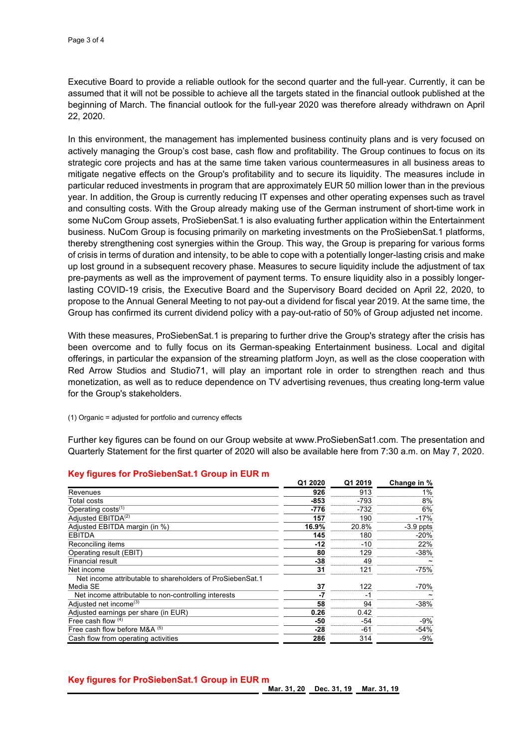Executive Board to provide a reliable outlook for the second quarter and the full-year. Currently, it can be assumed that it will not be possible to achieve all the targets stated in the financial outlook published at the beginning of March. The financial outlook for the full-year 2020 was therefore already withdrawn on April 22, 2020.

In this environment, the management has implemented business continuity plans and is very focused on actively managing the Group's cost base, cash flow and profitability. The Group continues to focus on its strategic core projects and has at the same time taken various countermeasures in all business areas to mitigate negative effects on the Group's profitability and to secure its liquidity. The measures include in particular reduced investments in program that are approximately EUR 50 million lower than in the previous year. In addition, the Group is currently reducing IT expenses and other operating expenses such as travel and consulting costs. With the Group already making use of the German instrument of short-time work in some NuCom Group assets, ProSiebenSat.1 is also evaluating further application within the Entertainment business. NuCom Group is focusing primarily on marketing investments on the ProSiebenSat.1 platforms, thereby strengthening cost synergies within the Group. This way, the Group is preparing for various forms of crisis in terms of duration and intensity, to be able to cope with a potentially longer-lasting crisis and make up lost ground in a subsequent recovery phase. Measures to secure liquidity include the adjustment of tax pre-payments as well as the improvement of payment terms. To ensure liquidity also in a possibly longerlasting COVID-19 crisis, the Executive Board and the Supervisory Board decided on April 22, 2020, to propose to the Annual General Meeting to not pay-out a dividend for fiscal year 2019. At the same time, the Group has confirmed its current dividend policy with a pay-out-ratio of 50% of Group adjusted net income.

With these measures, ProSiebenSat.1 is preparing to further drive the Group's strategy after the crisis has been overcome and to fully focus on its German-speaking Entertainment business. Local and digital offerings, in particular the expansion of the streaming platform Joyn, as well as the close cooperation with Red Arrow Studios and Studio71, will play an important role in order to strengthen reach and thus monetization, as well as to reduce dependence on TV advertising revenues, thus creating long-term value for the Group's stakeholders.

#### (1) Organic = adjusted for portfolio and currency effects

Further key figures can be found on our Group website at www.ProSiebenSat1.com. The presentation and Quarterly Statement for the first quarter of 2020 will also be available here from 7:30 a.m. on May 7, 2020.

|                                                           | Q1 2020 | Q1 2019 | Change in % |
|-----------------------------------------------------------|---------|---------|-------------|
| Revenues                                                  | 926     | 913     | 1%          |
| Total costs                                               | $-853$  | $-793$  | 8%          |
| Operating $costs^{(1)}$                                   | $-776$  | $-732$  | 6%          |
| Adiusted EBITDA <sup>(2)</sup>                            | 157     | 190     | $-17%$      |
| Adjusted EBITDA margin (in %)                             | 16.9%   | 20.8%   | $-3.9$ ppts |
| <b>EBITDA</b>                                             | 145     | 180     | $-20%$      |
| Reconciling items                                         | $-12$   | $-10$   | 22%         |
| Operating result (EBIT)                                   | 80      | 129     | $-38%$      |
| <b>Financial result</b>                                   | $-38$   | 49      |             |
| Net income                                                | 31      | 121     | $-75%$      |
| Net income attributable to shareholders of ProSiebenSat.1 |         |         |             |
| Media SE                                                  | 37      | 122     | -70%        |
| Net income attributable to non-controlling interests      | -7      | -1      |             |
| Adjusted net income <sup>(3)</sup>                        | 58      | 94      | $-38%$      |
| Adjusted earnings per share (in EUR)                      | 0.26    | 0.42    |             |
| Free cash flow $(4)$                                      | -50     | -54     | -9%         |
| Free cash flow before $M&A^{(5)}$                         | $-28$   | -61     | $-54%$      |
| Cash flow from operating activities                       | 286     | 314     | $-9%$       |

## **Key figures for ProSiebenSat.1 Group in EUR m**

## **Key figures for ProSiebenSat.1 Group in EUR m**

**Mar. 31, 20 Dec. 31, 19 Mar. 31, 19**